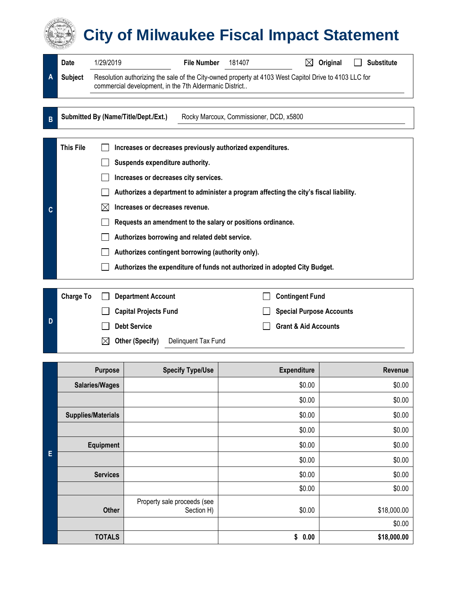## **City of Milwaukee Fiscal Impact Statement**

|                | Date                                                                                                                                                                                                                                                                                                                                                                                                                                                                                                                                             | 1/29/2019                                                                                                                                                       | <b>File Number</b>                      | 181407                 | $\boxtimes$ | Original                                                           | <b>Substitute</b> |
|----------------|--------------------------------------------------------------------------------------------------------------------------------------------------------------------------------------------------------------------------------------------------------------------------------------------------------------------------------------------------------------------------------------------------------------------------------------------------------------------------------------------------------------------------------------------------|-----------------------------------------------------------------------------------------------------------------------------------------------------------------|-----------------------------------------|------------------------|-------------|--------------------------------------------------------------------|-------------------|
| A              | <b>Subject</b>                                                                                                                                                                                                                                                                                                                                                                                                                                                                                                                                   | Resolution authorizing the sale of the City-owned property at 4103 West Capitol Drive to 4103 LLC for<br>commercial development, in the 7th Aldermanic District |                                         |                        |             |                                                                    |                   |
| $\overline{B}$ |                                                                                                                                                                                                                                                                                                                                                                                                                                                                                                                                                  | Submitted By (Name/Title/Dept./Ext.)                                                                                                                            | Rocky Marcoux, Commissioner, DCD, x5800 |                        |             |                                                                    |                   |
| C              | <b>This File</b><br>Increases or decreases previously authorized expenditures.<br>Suspends expenditure authority.<br>Increases or decreases city services.<br>Authorizes a department to administer a program affecting the city's fiscal liability.<br>Increases or decreases revenue.<br>M<br>Requests an amendment to the salary or positions ordinance.<br>Authorizes borrowing and related debt service.<br>Authorizes contingent borrowing (authority only).<br>Authorizes the expenditure of funds not authorized in adopted City Budget. |                                                                                                                                                                 |                                         |                        |             |                                                                    |                   |
| Ð              | <b>Charge To</b>                                                                                                                                                                                                                                                                                                                                                                                                                                                                                                                                 | <b>Department Account</b><br><b>Capital Projects Fund</b><br><b>Debt Service</b>                                                                                |                                         | <b>Contingent Fund</b> |             | <b>Special Purpose Accounts</b><br><b>Grant &amp; Aid Accounts</b> |                   |

| $\boxtimes$ Other (Specify) | Delinquent Tax Fund |
|-----------------------------|---------------------|
|-----------------------------|---------------------|

|   | <b>Purpose</b>            | <b>Specify Type/Use</b>                   | <b>Expenditure</b> | Revenue     |
|---|---------------------------|-------------------------------------------|--------------------|-------------|
| E | <b>Salaries/Wages</b>     |                                           | \$0.00             | \$0.00      |
|   |                           |                                           | \$0.00             | \$0.00      |
|   | <b>Supplies/Materials</b> |                                           | \$0.00             | \$0.00      |
|   |                           |                                           | \$0.00             | \$0.00      |
|   | <b>Equipment</b>          |                                           | \$0.00             | \$0.00      |
|   |                           |                                           | \$0.00             | \$0.00      |
|   | <b>Services</b>           |                                           | \$0.00             | \$0.00      |
|   |                           |                                           | \$0.00             | \$0.00      |
|   | Other                     | Property sale proceeds (see<br>Section H) | \$0.00             | \$18,000.00 |
|   |                           |                                           |                    | \$0.00      |
|   | <b>TOTALS</b>             |                                           | \$<br>0.00         | \$18,000.00 |